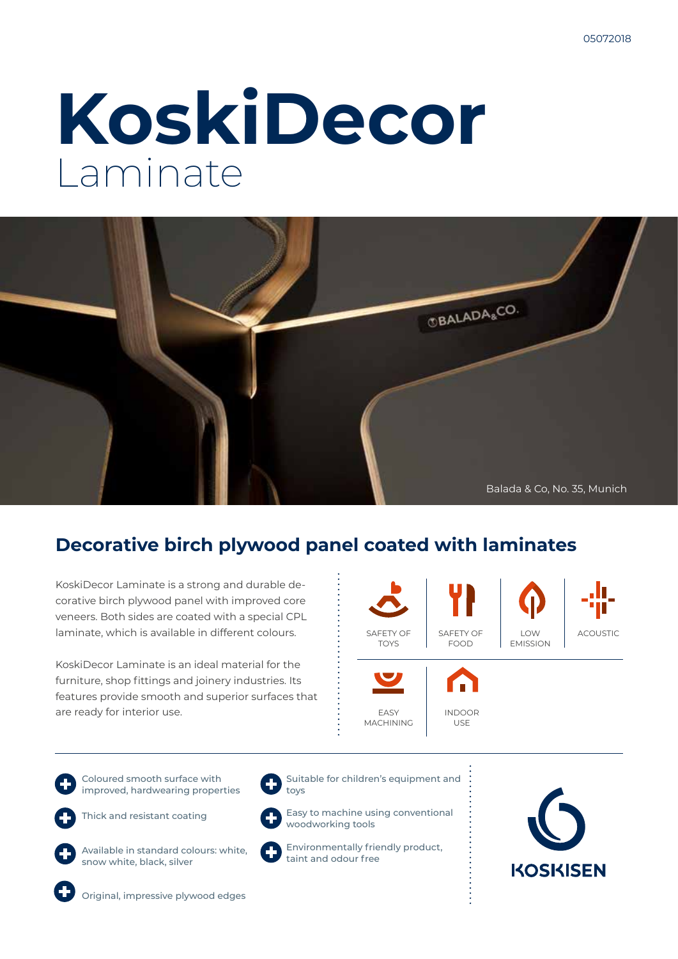# **KoskiDecor** Laminate



# **Decorative birch plywood panel coated with laminates**

KoskiDecor Laminate is a strong and durable decorative birch plywood panel with improved core veneers. Both sides are coated with a special CPL laminate, which is available in different colours.

KoskiDecor Laminate is an ideal material for the furniture, shop fittings and joinery industries. Its features provide smooth and superior surfaces that are ready for interior use.



Coloured smooth surface with improved, hardwearing properties

Thick and resistant coating



Available in standard colours: white, snow white, black, silver



Suitable for children's equipment and toys

Easy to machine using conventional woodworking tools

Environmentally friendly product, taint and odour free





Original, impressive plywood edges